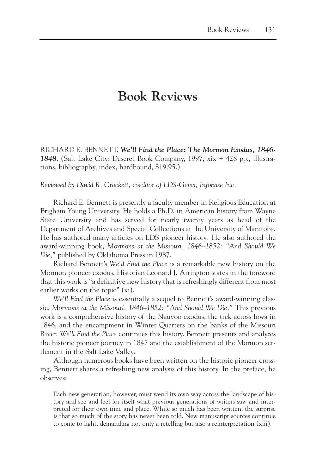## **Book Reviews**

RICHARD E. BENNETT. *We'll Find the Place: The Mormon Exodus, 1846- 1848*. (Salt Lake City: Deseret Book Company, 1997, xix + 428 pp., illustrations, bibliography, index, hardbound, \$19.95.)

*Reviewed by David R. Crockett, coeditor of LDS-Gems, Infobase Inc.*

Richard E. Bennett is presently a faculty member in Religious Education at Brigham Young University. He holds a Ph.D. in American history from Wayne State University and has served for nearly twenty years as head of the Department of Archives and Special Collections at the University of Manitoba. He has authored many articles on LDS pioneer history*.* He also authored the award-winning book, *Mormons at the Missouri, 1846–1852: "And Should We Die,"* published by Oklahoma Press in 1987.

Richard Bennett's *We'll Find the Place* is a remarkable new history on the Mormon pioneer exodus. Historian Leonard J. Arrington states in the foreword that this work is "a definitive new history that is refreshingly different from most earlier works on the topic" (xi).

*We'll Find the Place* is essentially a sequel to Bennett's award-winning classic, *Mormons at the Missouri, 1846–1852: "And Should We Die."* This previous work is a comprehensive history of the Nauvoo exodus, the trek across Iowa in 1846, and the encampment in Winter Quarters on the banks of the Missouri River. *We'll Find the Place* continues this history. Bennett presents and analyzes the historic pioneer journey in 1847 and the establishment of the Mormon settlement in the Salt Lake Valley.

Although numerous books have been written on the historic pioneer crossing, Bennett shares a refreshing new analysis of this history. In the preface, he observes:

Each new generation, however, must wend its own way across the landscape of history and see and feel for itself what previous generations of writers saw and interpreted for their own time and place. While so much has been written, the surprise is that so much of the story has never been told. New manuscript sources continue to come to light, demanding not only a retelling but also a reinterpretation (xiii).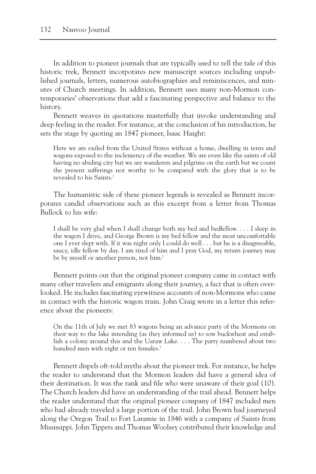In addition to pioneer journals that are typically used to tell the tale of this historic trek, Bennett incorporates new manuscript sources including unpublished journals, letters, numerous autobiographies and reminiscences, and minutes of Church meetings. In addition, Bennett uses many non-Mormon contemporaries' observations that add a fascinating perspective and balance to the history.

Bennett weaves in quotations masterfully that invoke understanding and deep feeling in the reader. For instance, at the conclusion of his introduction, he sets the stage by quoting an 1847 pioneer, Isaac Haight:

Here we are exiled from the United States without a home, dwelling in tents and wagons exposed to the inclemency of the weather. We are even like the saints of old having no abiding city but we are wanderers and pilgrims on the earth but we count the present sufferings not worthy to be compared with the glory that is to be revealed to his Saints<sup>1</sup>

The humanistic side of these pioneer legends is revealed as Bennett incorporates candid observations such as this excerpt from a letter from Thomas Bullock to his wife:

I shall be very glad when I shall change both my bed and bedfellow. . . . I sleep in the wagon I drive, and George Brown is my bed fellow and the most uncomfortable one I ever slept with. If it was night only I could do well . . . but he is a disagreeable, saucy, idle fellow by day. I am tired of him and I pray God, my return journey may be by myself or another person, not him.<sup>2</sup>

Bennett points out that the original pioneer company came in contact with many other travelers and emigrants along their journey, a fact that is often overlooked. He includes fascinating eyewitness accounts of non-Mormons who came in contact with the historic wagon train. John Craig wrote in a letter this reference about the pioneers:

On the 11th of July we met 83 wagons being an advance party of the Mormons on their way to the lake intending (as they informed us) to sow buckwheat and establish a colony around this and the Uataw Lake. . . . The party numbered about two hundred men with eight or ten females.<sup>3</sup>

Bennett dispels oft-told myths about the pioneer trek. For instance, he helps the reader to understand that the Mormon leaders did have a general idea of their destination. It was the rank and file who were unaware of their goal (10). The Church leaders did have an understanding of the trail ahead. Bennett helps the reader understand that the original pioneer company of 1847 included men who had already traveled a large portion of the trail. John Brown had journeyed along the Oregon Trail to Fort Laramie in 1846 with a company of Saints from Mississippi. John Tippets and Thomas Woolsey contributed their knowledge and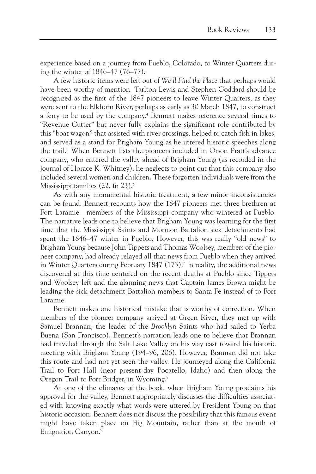experience based on a journey from Pueblo, Colorado, to Winter Quarters during the winter of 1846–47 (76–77).

A few historic items were left out of *We'll Find the Place* that perhaps would have been worthy of mention. Tarlton Lewis and Stephen Goddard should be recognized as the first of the 1847 pioneers to leave Winter Quarters, as they were sent to the Elkhorn River, perhaps as early as 30 March 1847, to construct a ferry to be used by the company.<sup>4</sup> Bennett makes reference several times to "Revenue Cutter" but never fully explains the significant role contributed by this "boat wagon" that assisted with river crossings, helped to catch fish in lakes, and served as a stand for Brigham Young as he uttered historic speeches along the trail.<sup>5</sup> When Bennett lists the pioneers included in Orson Pratt's advance company, who entered the valley ahead of Brigham Young (as recorded in the journal of Horace K. Whitney), he neglects to point out that this company also included several women and children. These forgotten individuals were from the Mississippi families (22, fn 23).<sup>6</sup>

As with any monumental historic treatment, a few minor inconsistencies can be found. Bennett recounts how the 1847 pioneers met three brethren at Fort Laramie—members of the Mississippi company who wintered at Pueblo. The narrative leads one to believe that Brigham Young was learning for the first time that the Mississippi Saints and Mormon Battalion sick detachments had spent the 1846–47 winter in Pueblo. However, this was really "old news" to Brigham Young because John Tippets and Thomas Woolsey, members of the pioneer company, had already relayed all that news from Pueblo when they arrived in Winter Quarters during February  $1847$  (173).<sup>7</sup> In reality, the additional news discovered at this time centered on the recent deaths at Pueblo since Tippets and Woolsey left and the alarming news that Captain James Brown might be leading the sick detachment Battalion members to Santa Fe instead of to Fort Laramie.

Bennett makes one historical mistake that is worthy of correction. When members of the pioneer company arrived at Green River, they met up with Samuel Brannan, the leader of the *Brooklyn* Saints who had sailed to Yerba Buena (San Francisco). Bennett's narration leads one to believe that Brannan had traveled through the Salt Lake Valley on his way east toward his historic meeting with Brigham Young (194–96, 206). However, Brannan did not take this route and had not yet seen the valley. He journeyed along the California Trail to Fort Hall (near present-day Pocatello, Idaho) and then along the Oregon Trail to Fort Bridger, in Wyoming.8

At one of the climaxes of the book, when Brigham Young proclaims his approval for the valley, Bennett appropriately discusses the difficulties associated with knowing exactly what words were uttered by President Young on that historic occasion. Bennett does not discuss the possibility that this famous event might have taken place on Big Mountain, rather than at the mouth of Emigration Canyon.<sup>9</sup>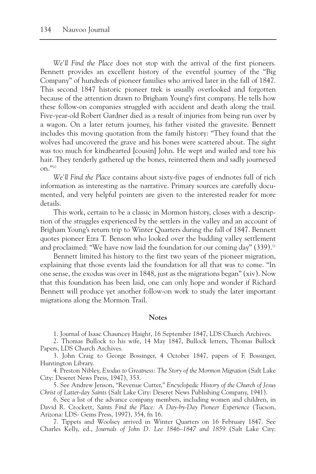*We'll Find the Place* does not stop with the arrival of the first pioneers. Bennett provides an excellent history of the eventful journey of the "Big Company" of hundreds of pioneer families who arrived later in the fall of 1847. This second 1847 historic pioneer trek is usually overlooked and forgotten because of the attention drawn to Brigham Young's first company. He tells how these follow-on companies struggled with accident and death along the trail. Five-year-old Robert Gardner died as a result of injuries from being run over by a wagon. On a later return journey, his father visited the gravesite. Bennett includes this moving quotation from the family history: "They found that the wolves had uncovered the grave and his bones were scattered about. The sight was too much for kindhearted [cousin] John. He wept and wailed and tore his hair. They tenderly gathered up the bones, reinterred them and sadly journeyed on."10

*We'll Find the Place* contains about sixty-five pages of endnotes full of rich information as interesting as the narrative. Primary sources are carefully documented, and very helpful pointers are given to the interested reader for more details.

This work, certain to be a classic in Mormon history, closes with a description of the struggles experienced by the settlers in the valley and an account of Brigham Young's return trip to Winter Quarters during the fall of 1847. Bennett quotes pioneer Ezra T. Benson who looked over the budding valley settlement and proclaimed: "We have now laid the foundation for our coming day" (339).<sup>11</sup>

Bennett limited his history to the first two years of the pioneer migration, explaining that those events laid the foundation for all that was to come. "In one sense, the exodus was over in 1848, just as the migrations began" (xiv). Now that this foundation has been laid, one can only hope and wonder if Richard Bennett will produce yet another follow-on work to study the later important migrations along the Mormon Trail.

## **Notes**

1. Journal of Isaac Chauncey Haight, 16 September 1847, LDS Church Archives.

2. Thomas Bullock to his wife, 14 May 1847, Bullock letters, Thomas Bullock Papers, LDS Church Archives.

3. John Craig to George Bossinger, 4 October 1847, papers of F. Bossinger, Huntington Library.

4. Preston Nibley, *Exodus to Greatness: The Story of the Mormon Migration* (Salt Lake City: Deseret News Press, 1947), 353.

5. See Andrew Jenson, "Revenue Cutter," *Encyclopedic History of the Church of Jesus Christ of Latter-day Saints* (Salt Lake City: Deseret News Publishing Company, 1941).

6. See a list of the advance company members, including women and children, in David R. Crockett, *Saints Find the Place: A Day-by-Day Pioneer Experience* (Tucson, Arizona: LDS- Gems Press, 1997), 354, fn 16.

7. Tippets and Woolsey arrived in Winter Quarters on 16 February 1847. See Charles Kelly, ed., *Journals of John D. Lee 1846–1847 and 1859* (Salt Lake City: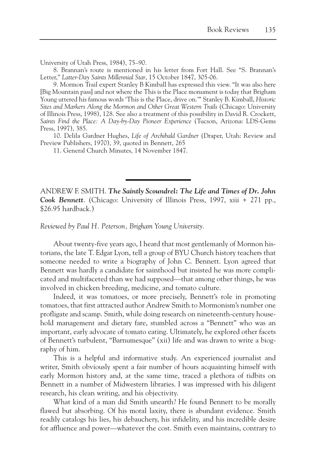University of Utah Press, 1984), 75–90.

8. Brannan's route is mentioned in his letter from Fort Hall. See "S. Brannan's Letter," *Latter-Day Saints Millennial Star*, 15 October 1847, 305-06.

9. Mormon Trail expert Stanley B Kimball has expressed this view. "It was also here [Big Mountain pass] and not where the This is the Place monument is today that Brigham Young uttered his famous words 'This is the Place, drive on.'" Stanley B. Kimball, *Historic Sites and Markers Along the Mormon and Other Great Western Trails* (Chicago: University of Illinois Press, 1998), 128. See also a treatment of this possibility in David R. Crockett, *Saints Find the Place: A Day-by-Day Pioneer Experience* (Tucson, Arizona: LDS-Gems Press, 1997), 385.

10. Delila Gardner Hughes, *Life of Archibald Gardner* (Draper, Utah: Review and Preview Publishers, 1970), 39, quoted in Bennett, 265

11. General Church Minutes, 14 November 1847.

ANDREW F. SMITH. *The Saintly Scoundrel: The Life and Times of Dr. John Cook Bennett*. (Chicago: University of Illinois Press, 1997, xiii + 271 pp., \$26.95 hardback.)

*Reviewed by Paul H. Peterson, Brigham Young University.*

About twenty-five years ago, I heard that most gentlemanly of Mormon historians, the late T. Edgar Lyon, tell a group of BYU Church history teachers that someone needed to write a biography of John C. Bennett. Lyon agreed that Bennett was hardly a candidate for sainthood but insisted he was more complicated and multifaceted than we had supposed—that among other things, he was involved in chicken breeding, medicine, and tomato culture.

Indeed, it was tomatoes, or more precisely, Bennett's role in promoting tomatoes, that first attracted author Andrew Smith to Mormonism's number one profligate and scamp. Smith, while doing research on nineteenth-century household management and dietary fare, stumbled across a "Bennett" who was an important, early advocate of tomato eating. Ultimately, he explored other facets of Bennett's turbulent, "Barnumesque" (xii) life and was drawn to write a biography of him.

This is a helpful and informative study. An experienced journalist and writer, Smith obviously spent a fair number of hours acquainting himself with early Mormon history and, at the same time, traced a plethora of tidbits on Bennett in a number of Midwestern libraries. I was impressed with his diligent research, his clean writing, and his objectivity.

What kind of a man did Smith unearth? He found Bennett to be morally flawed but absorbing. Of his moral laxity, there is abundant evidence. Smith readily catalogs his lies, his debauchery, his infidelity, and his incredible desire for affluence and power—whatever the cost. Smith even maintains, contrary to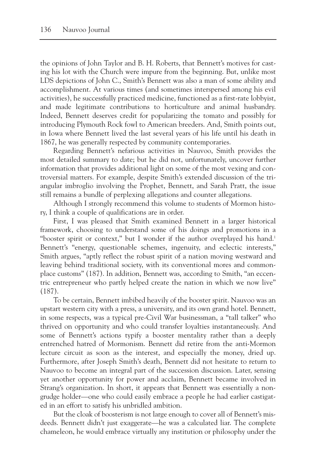the opinions of John Taylor and B. H. Roberts, that Bennett's motives for casting his lot with the Church were impure from the beginning. But, unlike most LDS depictions of John C., Smith's Bennett was also a man of some ability and accomplishment. At various times (and sometimes interspersed among his evil activities), he successfully practiced medicine, functioned as a first-rate lobbyist, and made legitimate contributions to horticulture and animal husbandry. Indeed, Bennett deserves credit for popularizing the tomato and possibly for introducing Plymouth Rock fowl to American breeders. And, Smith points out, in Iowa where Bennett lived the last several years of his life until his death in 1867, he was generally respected by community contemporaries.

Regarding Bennett's nefarious activities in Nauvoo, Smith provides the most detailed summary to date; but he did not, unfortunately, uncover further information that provides additional light on some of the most vexing and controversial matters. For example, despite Smith's extended discussion of the triangular imbroglio involving the Prophet, Bennett, and Sarah Pratt, the issue still remains a bundle of perplexing allegations and counter allegations.

Although I strongly recommend this volume to students of Mormon history, I think a couple of qualifications are in order.

First, I was pleased that Smith examined Bennett in a larger historical framework, choosing to understand some of his doings and promotions in a "booster spirit or context," but I wonder if the author overplayed his hand.<sup>1</sup> Bennett's "energy, questionable schemes, ingenuity, and eclectic interests," Smith argues, "aptly reflect the robust spirit of a nation moving westward and leaving behind traditional society, with its conventional mores and commonplace customs" (187). In addition, Bennett was, according to Smith, "an eccentric entrepreneur who partly helped create the nation in which we now live" (187).

To be certain, Bennett imbibed heavily of the booster spirit. Nauvoo was an upstart western city with a press, a university, and its own grand hotel. Bennett, in some respects, was a typical pre-Civil War businessman, a "tall talker" who thrived on opportunity and who could transfer loyalties instantaneously. And some of Bennett's actions typify a booster mentality rather than a deeply entrenched hatred of Mormonism. Bennett did retire from the anti-Mormon lecture circuit as soon as the interest, and especially the money, dried up. Furthermore, after Joseph Smith's death, Bennett did not hesitate to return to Nauvoo to become an integral part of the succession discussion. Later, sensing yet another opportunity for power and acclaim, Bennett became involved in Strang's organization. In short, it appears that Bennett was essentially a nongrudge holder—one who could easily embrace a people he had earlier castigated in an effort to satisfy his unbridled ambition.

But the cloak of boosterism is not large enough to cover all of Bennett's misdeeds. Bennett didn't just exaggerate—he was a calculated liar. The complete chameleon, he would embrace virtually any institution or philosophy under the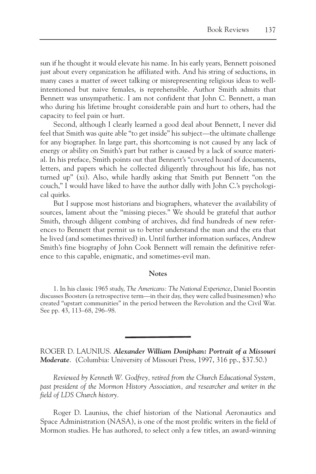sun if he thought it would elevate his name. In his early years, Bennett poisoned just about every organization he affiliated with. And his string of seductions, in many cases a matter of sweet talking or misrepresenting religious ideas to wellintentioned but naive females, is reprehensible. Author Smith admits that Bennett was unsympathetic. I am not confident that John C. Bennett, a man who during his lifetime brought considerable pain and hurt to others, had the capacity to feel pain or hurt.

Second, although I clearly learned a good deal about Bennett, I never did feel that Smith was quite able "to get inside" his subject—the ultimate challenge for any biographer. In large part, this shortcoming is not caused by any lack of energy or ability on Smith's part but rather is caused by a lack of source material. In his preface, Smith points out that Bennett's "coveted hoard of documents, letters, and papers which he collected diligently throughout his life, has not turned up" (xi). Also, while hardly asking that Smith put Bennett "on the couch," I would have liked to have the author dally with John C.'s psychological quirks.

But I suppose most historians and biographers, whatever the availability of sources, lament about the "missing pieces." We should be grateful that author Smith, through diligent combing of archives, did find hundreds of new references to Bennett that permit us to better understand the man and the era that he lived (and sometimes thrived) in. Until further information surfaces, Andrew Smith's fine biography of John Cook Bennett will remain the definitive reference to this capable, enigmatic, and sometimes-evil man.

## **Notes**

ROGER D. LAUNIUS. *Alexander William Doniphan: Portrait of a Missouri Moderate*. (Columbia: University of Missouri Press, 1997, 316 pp., \$37.50.)

*Reviewed by Kenneth W. Godfrey, retired from the Church Educational System, past president of the Mormon History Association, and researcher and writer in the field of LDS Church history.*

Roger D. Launius, the chief historian of the National Aeronautics and Space Administration (NASA), is one of the most prolific writers in the field of Mormon studies. He has authored, to select only a few titles, an award-winning

<sup>1.</sup> In his classic 1965 study, *The Americans: The National Experience*, Daniel Boorstin discusses Boosters (a retrospective term—in their day, they were called businessmen) who created "upstart communities" in the period between the Revolution and the Civil War. See pp. 43, 113–68, 296–98.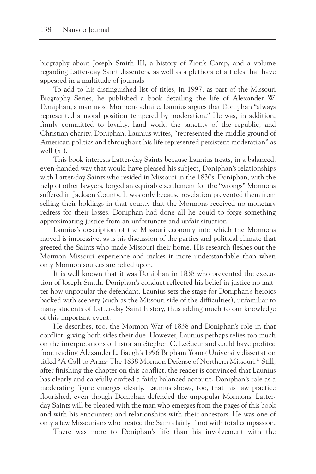biography about Joseph Smith III, a history of Zion's Camp, and a volume regarding Latter-day Saint dissenters, as well as a plethora of articles that have appeared in a multitude of journals.

To add to his distinguished list of titles, in 1997, as part of the Missouri Biography Series, he published a book detailing the life of Alexander W. Doniphan, a man most Mormons admire. Launius argues that Doniphan "always represented a moral position tempered by moderation." He was, in addition, firmly committed to loyalty, hard work, the sanctity of the republic, and Christian charity. Doniphan, Launius writes, "represented the middle ground of American politics and throughout his life represented persistent moderation" as well (xi).

This book interests Latter-day Saints because Launius treats, in a balanced, even-handed way that would have pleased his subject, Doniphan's relationships with Latter-day Saints who resided in Missouri in the 1830s. Doniphan, with the help of other lawyers, forged an equitable settlement for the "wrongs" Mormons suffered in Jackson County. It was only because revelation prevented them from selling their holdings in that county that the Mormons received no monetary redress for their losses. Doniphan had done all he could to forge something approximating justice from an unfortunate and unfair situation.

Launius's description of the Missouri economy into which the Mormons moved is impressive, as is his discussion of the parties and political climate that greeted the Saints who made Missouri their home. His research fleshes out the Mormon Missouri experience and makes it more understandable than when only Mormon sources are relied upon.

It is well known that it was Doniphan in 1838 who prevented the execution of Joseph Smith. Doniphan's conduct reflected his belief in justice no matter how unpopular the defendant. Launius sets the stage for Doniphan's heroics backed with scenery (such as the Missouri side of the difficulties), unfamiliar to many students of Latter-day Saint history, thus adding much to our knowledge of this important event.

He describes, too, the Mormon War of 1838 and Doniphan's role in that conflict, giving both sides their due. However, Launius perhaps relies too much on the interpretations of historian Stephen C. LeSueur and could have profited from reading Alexander L. Baugh's 1996 Brigham Young University dissertation titled "A Call to Arms: The 1838 Mormon Defense of Northern Missouri." Still, after finishing the chapter on this conflict, the reader is convinced that Launius has clearly and carefully crafted a fairly balanced account. Doniphan's role as a moderating figure emerges clearly. Launius shows, too, that his law practice flourished, even though Doniphan defended the unpopular Mormons. Latterday Saints will be pleased with the man who emerges from the pages of this book and with his encounters and relationships with their ancestors. He was one of only a few Missourians who treated the Saints fairly if not with total compassion.

There was more to Doniphan's life than his involvement with the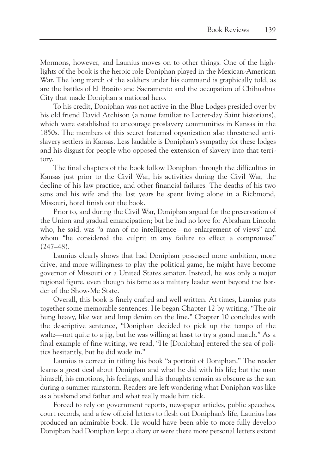Mormons, however, and Launius moves on to other things. One of the highlights of the book is the heroic role Doniphan played in the Mexican-American War. The long march of the soldiers under his command is graphically told, as are the battles of El Brazito and Sacramento and the occupation of Chihuahua City that made Doniphan a national hero.

To his credit, Doniphan was not active in the Blue Lodges presided over by his old friend David Atchison (a name familiar to Latter-day Saint historians), which were established to encourage proslavery communities in Kansas in the 1850s. The members of this secret fraternal organization also threatened antislavery settlers in Kansas. Less laudable is Doniphan's sympathy for these lodges and his disgust for people who opposed the extension of slavery into that territory.

The final chapters of the book follow Doniphan through the difficulties in Kansas just prior to the Civil War, his activities during the Civil War, the decline of his law practice, and other financial failures. The deaths of his two sons and his wife and the last years he spent living alone in a Richmond, Missouri, hotel finish out the book.

Prior to, and during the Civil War, Doniphan argued for the preservation of the Union and gradual emancipation; but he had no love for Abraham Lincoln who, he said, was "a man of no intelligence—no enlargement of views" and whom "he considered the culprit in any failure to effect a compromise" (247–48).

Launius clearly shows that had Doniphan possessed more ambition, more drive, and more willingness to play the political game, he might have become governor of Missouri or a United States senator. Instead, he was only a major regional figure, even though his fame as a military leader went beyond the border of the Show-Me State.

Overall, this book is finely crafted and well written. At times, Launius puts together some memorable sentences. He began Chapter 12 by writing, "The air hung heavy, like wet and limp denim on the line." Chapter 10 concludes with the descriptive sentence, "Doniphan decided to pick up the tempo of the waltz—not quite to a jig, but he was willing at least to try a grand march." As a final example of fine writing, we read, "He [Doniphan] entered the sea of politics hesitantly, but he did wade in."

Launius is correct in titling his book "a portrait of Doniphan." The reader learns a great deal about Doniphan and what he did with his life; but the man himself, his emotions, his feelings, and his thoughts remain as obscure as the sun during a summer rainstorm. Readers are left wondering what Doniphan was like as a husband and father and what really made him tick.

Forced to rely on government reports, newspaper articles, public speeches, court records, and a few official letters to flesh out Doniphan's life, Launius has produced an admirable book. He would have been able to more fully develop Doniphan had Doniphan kept a diary or were there more personal letters extant